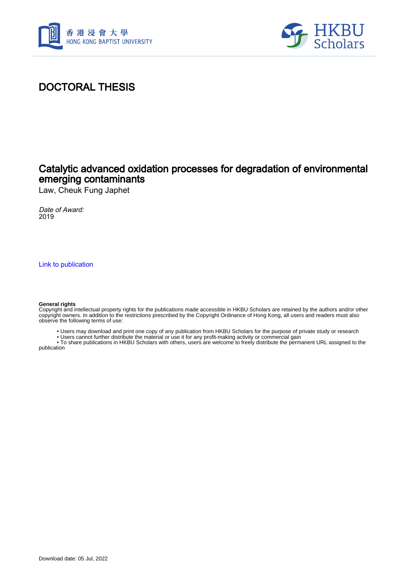



## DOCTORAL THESIS

## Catalytic advanced oxidation processes for degradation of environmental emerging contaminants

Law, Cheuk Fung Japhet

Date of Award: 2019

[Link to publication](https://scholars.hkbu.edu.hk/en/studentTheses/82fca5ae-f4a3-48f9-98ee-e29d569eea04)

#### **General rights**

Copyright and intellectual property rights for the publications made accessible in HKBU Scholars are retained by the authors and/or other copyright owners. In addition to the restrictions prescribed by the Copyright Ordinance of Hong Kong, all users and readers must also observe the following terms of use:

- Users may download and print one copy of any publication from HKBU Scholars for the purpose of private study or research
- Users cannot further distribute the material or use it for any profit-making activity or commercial gain

 • To share publications in HKBU Scholars with others, users are welcome to freely distribute the permanent URL assigned to the publication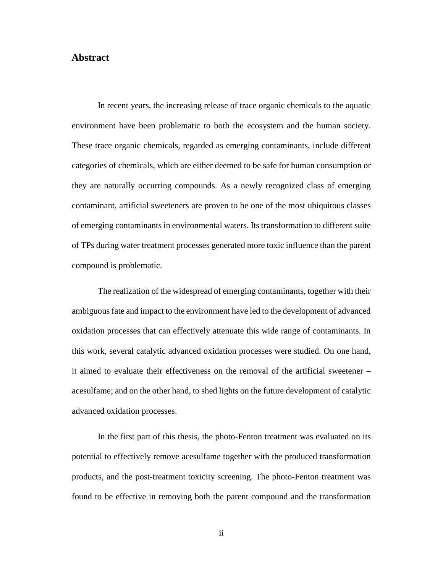### <span id="page-1-0"></span>**Abstract**

In recent years, the increasing release of trace organic chemicals to the aquatic environment have been problematic to both the ecosystem and the human society. These trace organic chemicals, regarded as emerging contaminants, include different categories of chemicals, which are either deemed to be safe for human consumption or they are naturally occurring compounds. As a newly recognized class of emerging contaminant, artificial sweeteners are proven to be one of the most ubiquitous classes of emerging contaminants in environmental waters. Its transformation to different suite of TPs during water treatment processes generated more toxic influence than the parent compound is problematic.

The realization of the widespread of emerging contaminants, together with their ambiguous fate and impact to the environment have led to the development of advanced oxidation processes that can effectively attenuate this wide range of contaminants. In this work, several catalytic advanced oxidation processes were studied. On one hand, it aimed to evaluate their effectiveness on the removal of the artificial sweetener – acesulfame; and on the other hand, to shed lights on the future development of catalytic advanced oxidation processes.

In the first part of this thesis, the photo-Fenton treatment was evaluated on its potential to effectively remove acesulfame together with the produced transformation products, and the post-treatment toxicity screening. The photo-Fenton treatment was found to be effective in removing both the parent compound and the transformation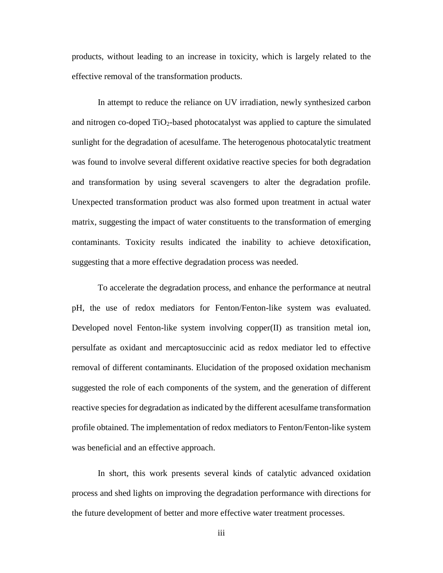products, without leading to an increase in toxicity, which is largely related to the effective removal of the transformation products.

In attempt to reduce the reliance on UV irradiation, newly synthesized carbon and nitrogen co-doped  $TiO<sub>2</sub>$ -based photocatalyst was applied to capture the simulated sunlight for the degradation of acesulfame. The heterogenous photocatalytic treatment was found to involve several different oxidative reactive species for both degradation and transformation by using several scavengers to alter the degradation profile. Unexpected transformation product was also formed upon treatment in actual water matrix, suggesting the impact of water constituents to the transformation of emerging contaminants. Toxicity results indicated the inability to achieve detoxification, suggesting that a more effective degradation process was needed.

To accelerate the degradation process, and enhance the performance at neutral pH, the use of redox mediators for Fenton/Fenton-like system was evaluated. Developed novel Fenton-like system involving copper(II) as transition metal ion, persulfate as oxidant and mercaptosuccinic acid as redox mediator led to effective removal of different contaminants. Elucidation of the proposed oxidation mechanism suggested the role of each components of the system, and the generation of different reactive species for degradation as indicated by the different acesulfame transformation profile obtained. The implementation of redox mediators to Fenton/Fenton-like system was beneficial and an effective approach.

In short, this work presents several kinds of catalytic advanced oxidation process and shed lights on improving the degradation performance with directions for the future development of better and more effective water treatment processes.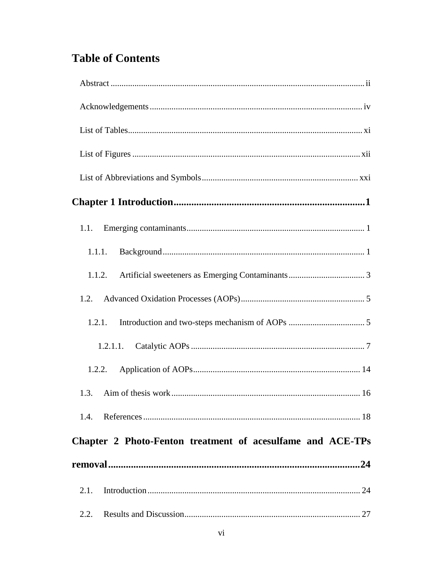# **Table of Contents**

| 1.1.1.                                                     |
|------------------------------------------------------------|
| 1.1.2.                                                     |
| 1.2.                                                       |
| 1.2.1.                                                     |
| 1.2.1.1.                                                   |
| 1.2.2.                                                     |
| 1.3.                                                       |
| 1.4                                                        |
| Chapter 2 Photo-Fenton treatment of acesulfame and ACE-TPs |
|                                                            |
| 2.1.                                                       |
| 2.2.                                                       |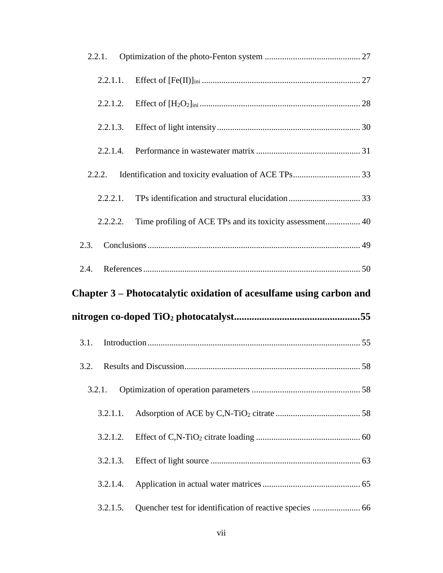| 2.2.1.   |                                                                     |
|----------|---------------------------------------------------------------------|
|          |                                                                     |
| 2.2.1.2. |                                                                     |
| 2.2.1.3. |                                                                     |
| 2.2.1.4. |                                                                     |
| 2.2.2.   |                                                                     |
| 2.2.2.1. |                                                                     |
| 2.2.2.2. | Time profiling of ACE TPs and its toxicity assessment 40            |
| 2.3.     |                                                                     |
|          |                                                                     |
| 2.4.     |                                                                     |
|          | Chapter 3 – Photocatalytic oxidation of acesulfame using carbon and |
|          |                                                                     |
| 3.1.     |                                                                     |
| 3.2.     |                                                                     |
| 3.2.1.   |                                                                     |
| 3.2.1.1. |                                                                     |
| 3.2.1.2. |                                                                     |
| 3.2.1.3. |                                                                     |
| 3.2.1.4. |                                                                     |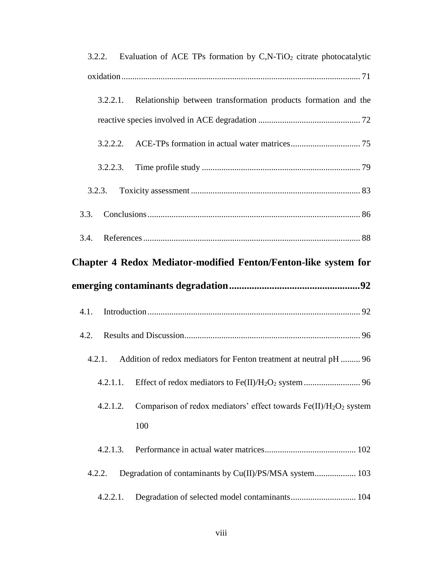|          | 3.2.2. Evaluation of ACE TPs formation by C,N-TiO <sub>2</sub> citrate photocatalytic     |
|----------|-------------------------------------------------------------------------------------------|
|          |                                                                                           |
| 3.2.2.1. | Relationship between transformation products formation and the                            |
|          |                                                                                           |
| 3.2.2.2. |                                                                                           |
| 3.2.2.3. |                                                                                           |
| 3.2.3.   |                                                                                           |
| 3.3.     |                                                                                           |
| 3.4.     |                                                                                           |
|          | <b>Chapter 4 Redox Mediator-modified Fenton/Fenton-like system for</b>                    |
|          |                                                                                           |
|          |                                                                                           |
| 4.1.     |                                                                                           |
| 4.2.     |                                                                                           |
| 4.2.1.   | Addition of redox mediators for Fenton treatment at neutral pH  96                        |
| 4.2.1.1. |                                                                                           |
| 4.2.1.2. | Comparison of redox mediators' effect towards Fe(II)/H <sub>2</sub> O <sub>2</sub> system |
|          | 100                                                                                       |
| 4.2.1.3. |                                                                                           |
| 4.2.2.   | Degradation of contaminants by Cu(II)/PS/MSA system 103                                   |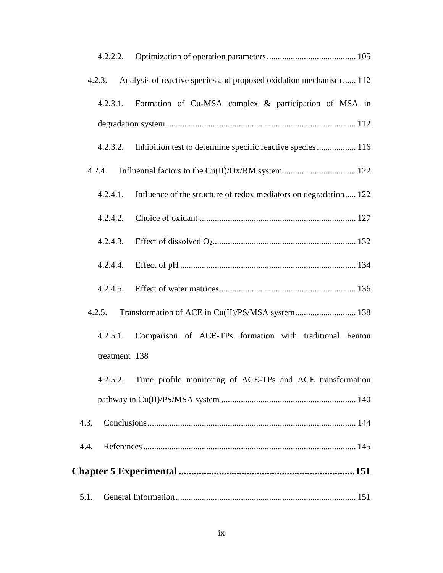|        | 4.2.2.2.      |                                                                     |
|--------|---------------|---------------------------------------------------------------------|
|        | 4.2.3.        | Analysis of reactive species and proposed oxidation mechanism  112  |
|        |               | 4.2.3.1. Formation of Cu-MSA complex & participation of MSA in      |
|        |               |                                                                     |
|        |               | 4.2.3.2. Inhibition test to determine specific reactive species 116 |
| 4.2.4. |               |                                                                     |
|        | 4.2.4.1.      | Influence of the structure of redox mediators on degradation 122    |
|        |               |                                                                     |
|        |               |                                                                     |
|        | 4.2.4.4.      |                                                                     |
|        |               |                                                                     |
|        | 4.2.5.        | Transformation of ACE in Cu(II)/PS/MSA system 138                   |
|        | 4.2.5.1.      | Comparison of ACE-TPs formation with traditional Fenton             |
|        | treatment 138 |                                                                     |
|        | 4.2.5.2.      | Time profile monitoring of ACE-TPs and ACE transformation           |
|        |               |                                                                     |
| 4.3.   |               |                                                                     |
| 4.4.   |               |                                                                     |
|        |               |                                                                     |
| 5.1.   |               |                                                                     |